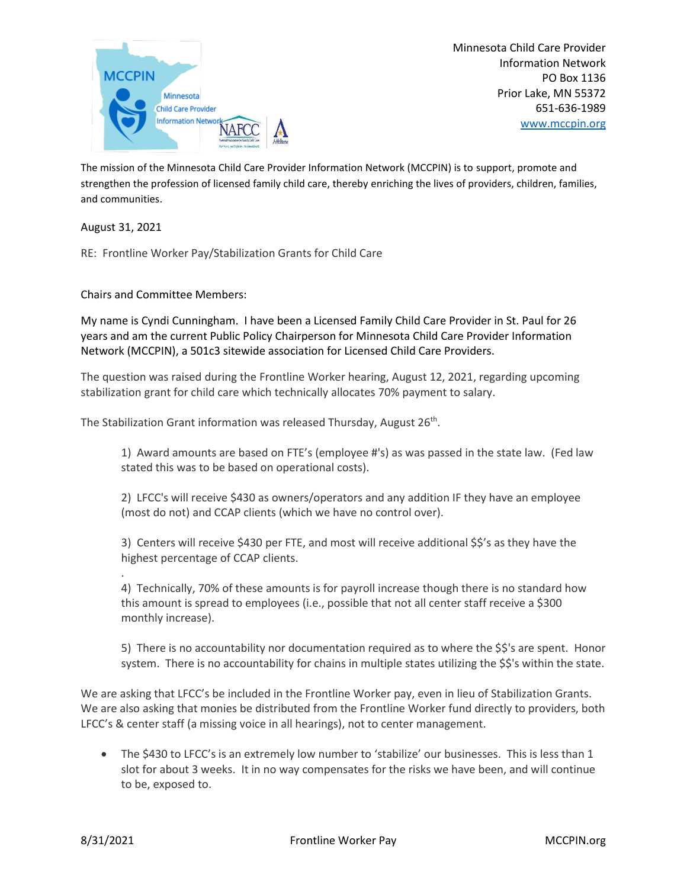

Minnesota Child Care Provider Information Network PO Box 1136 Prior Lake, MN 55372 651-636-1989 [www.mccpin.org](http://www.mccpin.org/)

The mission of the Minnesota Child Care Provider Information Network (MCCPIN) is to support, promote and strengthen the profession of licensed family child care, thereby enriching the lives of providers, children, families, and communities.

August 31, 2021

RE: Frontline Worker Pay/Stabilization Grants for Child Care

Chairs and Committee Members:

My name is Cyndi Cunningham. I have been a Licensed Family Child Care Provider in St. Paul for 26 years and am the current Public Policy Chairperson for Minnesota Child Care Provider Information Network (MCCPIN), a 501c3 sitewide association for Licensed Child Care Providers.

The question was raised during the Frontline Worker hearing, August 12, 2021, regarding upcoming stabilization grant for child care which technically allocates 70% payment to salary.

The Stabilization Grant information was released Thursday, August 26<sup>th</sup>.

1) Award amounts are based on FTE's (employee #'s) as was passed in the state law. (Fed law stated this was to be based on operational costs).

2) LFCC's will receive \$430 as owners/operators and any addition IF they have an employee (most do not) and CCAP clients (which we have no control over).

3) Centers will receive \$430 per FTE, and most will receive additional \$\$'s as they have the highest percentage of CCAP clients.

. 4) Technically, 70% of these amounts is for payroll increase though there is no standard how this amount is spread to employees (i.e., possible that not all center staff receive a \$300 monthly increase).

5) There is no accountability nor documentation required as to where the \$\$'s are spent. Honor system. There is no accountability for chains in multiple states utilizing the \$\$'s within the state.

We are asking that LFCC's be included in the Frontline Worker pay, even in lieu of Stabilization Grants. We are also asking that monies be distributed from the Frontline Worker fund directly to providers, both LFCC's & center staff (a missing voice in all hearings), not to center management.

• The \$430 to LFCC's is an extremely low number to 'stabilize' our businesses. This is less than 1 slot for about 3 weeks. It in no way compensates for the risks we have been, and will continue to be, exposed to.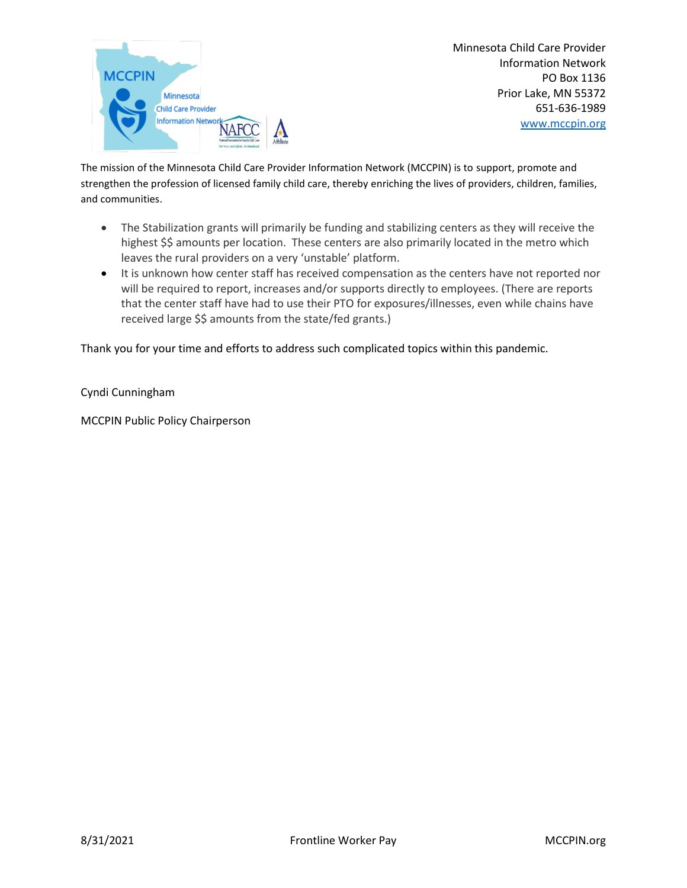

Minnesota Child Care Provider Information Network PO Box 1136 Prior Lake, MN 55372 651-636-1989 [www.mccpin.org](http://www.mccpin.org/)

The mission of the Minnesota Child Care Provider Information Network (MCCPIN) is to support, promote and strengthen the profession of licensed family child care, thereby enriching the lives of providers, children, families, and communities.

- The Stabilization grants will primarily be funding and stabilizing centers as they will receive the highest \$\$ amounts per location. These centers are also primarily located in the metro which leaves the rural providers on a very 'unstable' platform.
- It is unknown how center staff has received compensation as the centers have not reported nor will be required to report, increases and/or supports directly to employees. (There are reports that the center staff have had to use their PTO for exposures/illnesses, even while chains have received large \$\$ amounts from the state/fed grants.)

Thank you for your time and efforts to address such complicated topics within this pandemic.

## Cyndi Cunningham

MCCPIN Public Policy Chairperson